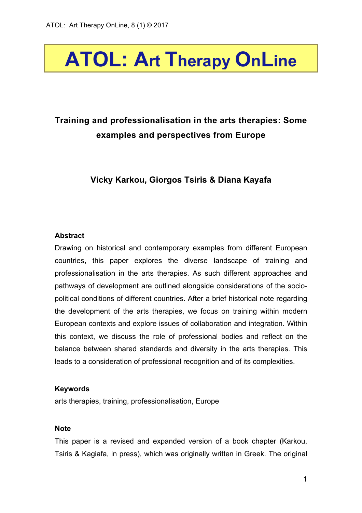# **ATOL: Art Therapy OnLine**

# **Training and professionalisation in the arts therapies: Some examples and perspectives from Europe**

**Vicky Karkou, Giorgos Tsiris & Diana Kayafa**

# **Abstract**

Drawing on historical and contemporary examples from different European countries, this paper explores the diverse landscape of training and professionalisation in the arts therapies. As such different approaches and pathways of development are outlined alongside considerations of the sociopolitical conditions of different countries. After a brief historical note regarding the development of the arts therapies, we focus on training within modern European contexts and explore issues of collaboration and integration. Within this context, we discuss the role of professional bodies and reflect on the balance between shared standards and diversity in the arts therapies. This leads to a consideration of professional recognition and of its complexities.

#### **Keywords**

arts therapies, training, professionalisation, Europe

#### **Note**

This paper is a revised and expanded version of a book chapter (Karkou, Tsiris & Kagiafa, in press), which was originally written in Greek. The original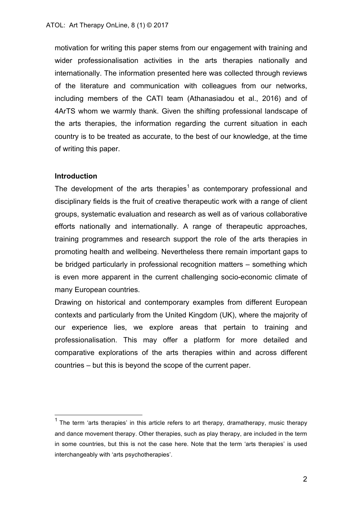motivation for writing this paper stems from our engagement with training and wider professionalisation activities in the arts therapies nationally and internationally. The information presented here was collected through reviews of the literature and communication with colleagues from our networks, including members of the CATI team (Athanasiadou et al., 2016) and of 4ArTS whom we warmly thank. Given the shifting professional landscape of the arts therapies, the information regarding the current situation in each country is to be treated as accurate, to the best of our knowledge, at the time of writing this paper.

#### **Introduction**

The development of the arts therapies<sup>1</sup> as contemporary professional and disciplinary fields is the fruit of creative therapeutic work with a range of client groups, systematic evaluation and research as well as of various collaborative efforts nationally and internationally. A range of therapeutic approaches, training programmes and research support the role of the arts therapies in promoting health and wellbeing. Nevertheless there remain important gaps to be bridged particularly in professional recognition matters – something which is even more apparent in the current challenging socio-economic climate of many European countries.

Drawing on historical and contemporary examples from different European contexts and particularly from the United Kingdom (UK), where the majority of our experience lies, we explore areas that pertain to training and professionalisation. This may offer a platform for more detailed and comparative explorations of the arts therapies within and across different countries – but this is beyond the scope of the current paper.

 $<sup>1</sup>$  The term 'arts therapies' in this article refers to art therapy, dramatherapy, music therapy</sup> and dance movement therapy. Other therapies, such as play therapy, are included in the term in some countries, but this is not the case here. Note that the term 'arts therapies' is used interchangeably with 'arts psychotherapies'.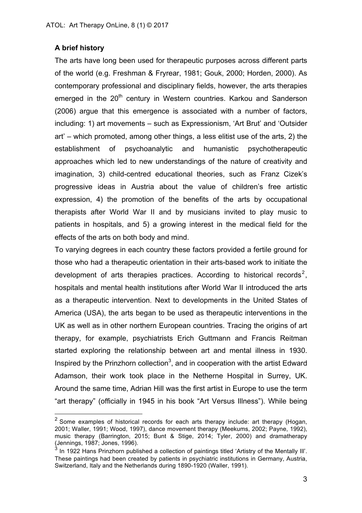# **A brief history**

The arts have long been used for therapeutic purposes across different parts of the world (e.g. Freshman & Fryrear, 1981; Gouk, 2000; Horden, 2000). As contemporary professional and disciplinary fields, however, the arts therapies emerged in the 20<sup>th</sup> century in Western countries. Karkou and Sanderson (2006) argue that this emergence is associated with a number of factors, including: 1) art movements – such as Expressionism, 'Art Brut' and 'Outsider art' – which promoted, among other things, a less elitist use of the arts, 2) the establishment of psychoanalytic and humanistic psychotherapeutic approaches which led to new understandings of the nature of creativity and imagination, 3) child-centred educational theories, such as Franz Cizek's progressive ideas in Austria about the value of children's free artistic expression, 4) the promotion of the benefits of the arts by occupational therapists after World War II and by musicians invited to play music to patients in hospitals, and 5) a growing interest in the medical field for the effects of the arts on both body and mind.

To varying degrees in each country these factors provided a fertile ground for those who had a therapeutic orientation in their arts-based work to initiate the development of arts therapies practices. According to historical records<sup>2</sup>, hospitals and mental health institutions after World War II introduced the arts as a therapeutic intervention. Next to developments in the United States of America (USA), the arts began to be used as therapeutic interventions in the UK as well as in other northern European countries. Tracing the origins of art therapy, for example, psychiatrists Erich Guttmann and Francis Reitman started exploring the relationship between art and mental illness in 1930. Inspired by the Prinzhorn collection<sup>3</sup>, and in cooperation with the artist Edward Adamson, their work took place in the Netherne Hospital in Surrey, UK. Around the same time, Adrian Hill was the first artist in Europe to use the term "art therapy" (officially in 1945 in his book "Art Versus Illness"). While being

 $2$  Some examples of historical records for each arts therapy include: art therapy (Hogan, 2001; Waller, 1991; Wood, 1997), dance movement therapy (Meekums, 2002; Payne, 1992), music therapy (Barrington, 2015; Bunt & Stige, 2014; Tyler, 2000) and dramatherapy (Jennings, 1987; Jones, 1996).

In 1922 Hans Prinzhorn published a collection of paintings titled 'Artistry of the Mentally III'. These paintings had been created by patients in psychiatric institutions in Germany, Austria, Switzerland, Italy and the Netherlands during 1890-1920 (Waller, 1991).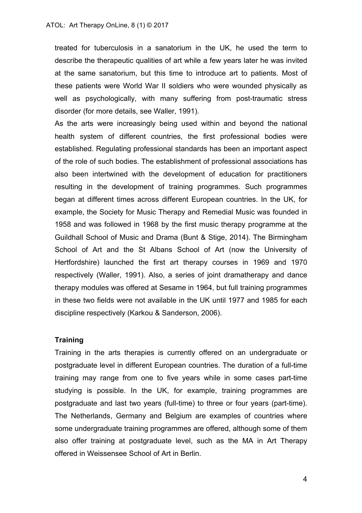treated for tuberculosis in a sanatorium in the UK, he used the term to describe the therapeutic qualities of art while a few years later he was invited at the same sanatorium, but this time to introduce art to patients. Most of these patients were World War II soldiers who were wounded physically as well as psychologically, with many suffering from post-traumatic stress disorder (for more details, see Waller, 1991).

As the arts were increasingly being used within and beyond the national health system of different countries, the first professional bodies were established. Regulating professional standards has been an important aspect of the role of such bodies. The establishment of professional associations has also been intertwined with the development of education for practitioners resulting in the development of training programmes. Such programmes began at different times across different European countries. In the UK, for example, the Society for Music Therapy and Remedial Music was founded in 1958 and was followed in 1968 by the first music therapy programme at the Guildhall School of Music and Drama (Bunt & Stige, 2014). The Birmingham School of Art and the St Albans School of Art (now the University of Hertfordshire) launched the first art therapy courses in 1969 and 1970 respectively (Waller, 1991). Also, a series of joint dramatherapy and dance therapy modules was offered at Sesame in 1964, but full training programmes in these two fields were not available in the UK until 1977 and 1985 for each discipline respectively (Karkou & Sanderson, 2006).

#### **Training**

Training in the arts therapies is currently offered on an undergraduate or postgraduate level in different European countries. The duration of a full-time training may range from one to five years while in some cases part-time studying is possible. In the UK, for example, training programmes are postgraduate and last two years (full-time) to three or four years (part-time). The Netherlands, Germany and Belgium are examples of countries where some undergraduate training programmes are offered, although some of them also offer training at postgraduate level, such as the MA in Art Therapy offered in Weissensee School of Art in Berlin.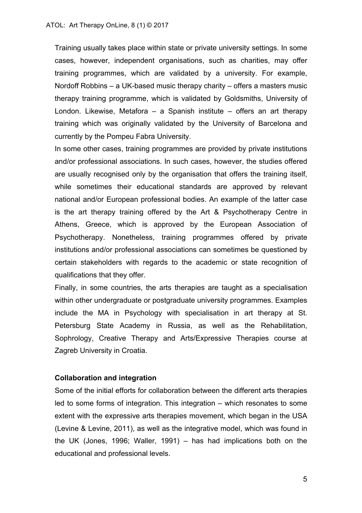Training usually takes place within state or private university settings. In some cases, however, independent organisations, such as charities, may offer training programmes, which are validated by a university. For example, Nordoff Robbins – a UK-based music therapy charity – offers a masters music therapy training programme, which is validated by Goldsmiths, University of London. Likewise, Metafora – a Spanish institute – offers an art therapy training which was originally validated by the University of Barcelona and currently by the Pompeu Fabra University.

In some other cases, training programmes are provided by private institutions and/or professional associations. In such cases, however, the studies offered are usually recognised only by the organisation that offers the training itself, while sometimes their educational standards are approved by relevant national and/or European professional bodies. An example of the latter case is the art therapy training offered by the Art & Psychotherapy Centre in Athens, Greece, which is approved by the European Association of Psychotherapy. Nonetheless, training programmes offered by private institutions and/or professional associations can sometimes be questioned by certain stakeholders with regards to the academic or state recognition of qualifications that they offer.

Finally, in some countries, the arts therapies are taught as a specialisation within other undergraduate or postgraduate university programmes. Examples include the MA in Psychology with specialisation in art therapy at St. Petersburg State Academy in Russia, as well as the Rehabilitation, Sophrology, Creative Therapy and Arts/Expressive Therapies course at Zagreb University in Croatia.

#### **Collaboration and integration**

Some of the initial efforts for collaboration between the different arts therapies led to some forms of integration. This integration – which resonates to some extent with the expressive arts therapies movement, which began in the USA (Levine & Levine, 2011), as well as the integrative model, which was found in the UK (Jones, 1996; Waller, 1991) – has had implications both on the educational and professional levels.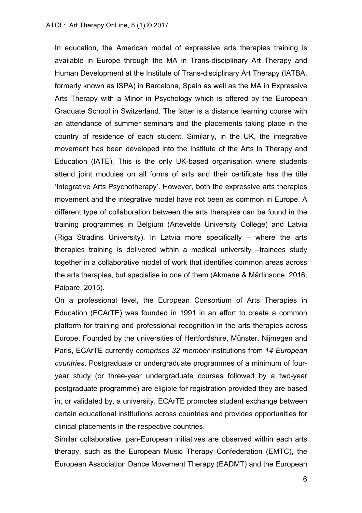In education, the American model of expressive arts therapies training is available in Europe through the MA in Trans-disciplinary Art Therapy and Human Development at the Institute of Trans-disciplinary Art Therapy (IATBA, formerly known as ISPA) in Barcelona, Spain as well as the MA in Expressive Arts Therapy with a Minor in Psychology which is offered by the European Graduate School in Switzerland. The latter is a distance learning course with an attendance of summer seminars and the placements taking place in the country of residence of each student. Similarly, in the UK, the integrative movement has been developed into the Institute of the Arts in Therapy and Education (IATE). This is the only UK-based organisation where students attend joint modules on all forms of arts and their certificate has the title 'Integrative Arts Psychotherapy'. However, both the expressive arts therapies movement and the integrative model have not been as common in Europe. A different type of collaboration between the arts therapies can be found in the training programmes in Belgium (Artevelde University College) and Latvia (Riga Stradins University). In Latvia more specifically – where the arts therapies training is delivered within a medical university -trainees study together in a collaborative model of work that identifies common areas across the arts therapies, but specialise in one of them (Akmane & Mārtinsone, 2016; Paipare, 2015).

On a professional level, the European Consortium of Arts Therapies in Education (ECArTE) was founded in 1991 in an effort to create a common platform for training and professional recognition in the arts therapies across Europe. Founded by the universities of Hertfordshire, Münster, Nijmegen and Paris, ECArTE currently *comprises 32 member* institutions from *14 European countries*. Postgraduate or undergraduate programmes of a minimum of fouryear study (or three-year undergraduate courses followed by a two-year postgraduate programme) are eligible for registration provided they are based in, or validated by, a university. ECArTE promotes student exchange between certain educational institutions across countries and provides opportunities for clinical placements in the respective countries.

Similar collaborative, pan-European initiatives are observed within each arts therapy, such as the European Music Therapy Confederation (EMTC), the European Association Dance Movement Therapy (EADMT) and the European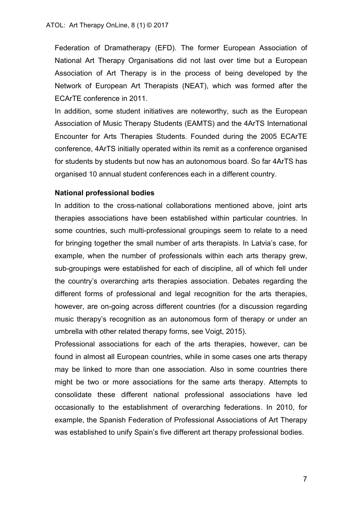Federation of Dramatherapy (EFD). The former European Association of National Art Therapy Organisations did not last over time but a European Association of Art Therapy is in the process of being developed by the Network of European Art Therapists (NEAT), which was formed after the ECArTE conference in 2011.

In addition, some student initiatives are noteworthy, such as the European Association of Music Therapy Students (EAMTS) and the 4ArTS International Encounter for Arts Therapies Students. Founded during the 2005 ECArTE conference, 4ArTS initially operated within its remit as a conference organised for students by students but now has an autonomous board. So far 4ArTS has organised 10 annual student conferences each in a different country.

# **National professional bodies**

In addition to the cross-national collaborations mentioned above, joint arts therapies associations have been established within particular countries. In some countries, such multi-professional groupings seem to relate to a need for bringing together the small number of arts therapists. In Latvia's case, for example, when the number of professionals within each arts therapy grew, sub-groupings were established for each of discipline, all of which fell under the country's overarching arts therapies association. Debates regarding the different forms of professional and legal recognition for the arts therapies, however, are on-going across different countries (for a discussion regarding music therapy's recognition as an autonomous form of therapy or under an umbrella with other related therapy forms, see Voigt, 2015).

Professional associations for each of the arts therapies, however, can be found in almost all European countries, while in some cases one arts therapy may be linked to more than one association. Also in some countries there might be two or more associations for the same arts therapy. Attempts to consolidate these different national professional associations have led occasionally to the establishment of overarching federations. In 2010, for example, the Spanish Federation of Professional Associations of Art Therapy was established to unify Spain's five different art therapy professional bodies.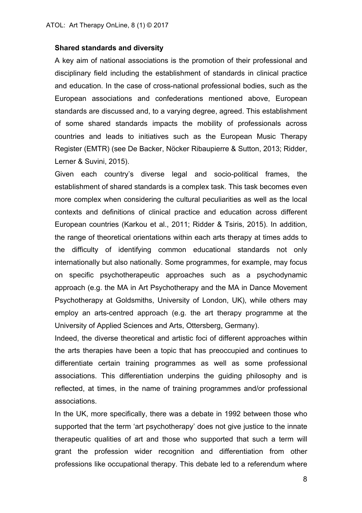#### **Shared standards and diversity**

A key aim of national associations is the promotion of their professional and disciplinary field including the establishment of standards in clinical practice and education. In the case of cross-national professional bodies, such as the European associations and confederations mentioned above, European standards are discussed and, to a varying degree, agreed. This establishment of some shared standards impacts the mobility of professionals across countries and leads to initiatives such as the European Music Therapy Register (EMTR) (see De Backer, Nöcker Ribaupierre & Sutton, 2013; Ridder, Lerner & Suvini, 2015).

Given each country's diverse legal and socio-political frames, the establishment of shared standards is a complex task. This task becomes even more complex when considering the cultural peculiarities as well as the local contexts and definitions of clinical practice and education across different European countries (Karkou et al., 2011; Ridder & Tsiris, 2015). In addition, the range of theoretical orientations within each arts therapy at times adds to the difficulty of identifying common educational standards not only internationally but also nationally. Some programmes, for example, may focus on specific psychotherapeutic approaches such as a psychodynamic approach (e.g. the MA in Art Psychotherapy and the MA in Dance Movement Psychotherapy at Goldsmiths, University of London, UK), while others may employ an arts-centred approach (e.g. the art therapy programme at the University of Applied Sciences and Arts, Ottersberg, Germany).

Indeed, the diverse theoretical and artistic foci of different approaches within the arts therapies have been a topic that has preoccupied and continues to differentiate certain training programmes as well as some professional associations. This differentiation underpins the guiding philosophy and is reflected, at times, in the name of training programmes and/or professional associations.

In the UK, more specifically, there was a debate in 1992 between those who supported that the term 'art psychotherapy' does not give justice to the innate therapeutic qualities of art and those who supported that such a term will grant the profession wider recognition and differentiation from other professions like occupational therapy. This debate led to a referendum where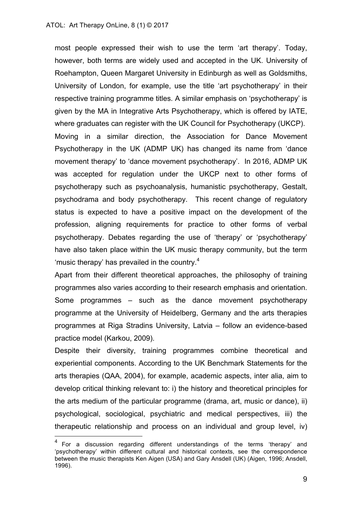most people expressed their wish to use the term 'art therapy'. Today, however, both terms are widely used and accepted in the UK. University of Roehampton, Queen Margaret University in Edinburgh as well as Goldsmiths, University of London, for example, use the title 'art psychotherapy' in their respective training programme titles. A similar emphasis on 'psychotherapy' is given by the MA in Integrative Arts Psychotherapy, which is offered by IATE, where graduates can register with the UK Council for Psychotherapy (UKCP). Moving in a similar direction, the Association for Dance Movement Psychotherapy in the UK (ADMP UK) has changed its name from 'dance movement therapy' to 'dance movement psychotherapy'. In 2016, ADMP UK was accepted for regulation under the UKCP next to other forms of psychotherapy such as psychoanalysis, humanistic psychotherapy, Gestalt, psychodrama and body psychotherapy. This recent change of regulatory status is expected to have a positive impact on the development of the profession, aligning requirements for practice to other forms of verbal psychotherapy. Debates regarding the use of 'therapy' or 'psychotherapy' have also taken place within the UK music therapy community, but the term 'music therapy' has prevailed in the country.<sup>4</sup>

Apart from their different theoretical approaches, the philosophy of training programmes also varies according to their research emphasis and orientation. Some programmes – such as the dance movement psychotherapy programme at the University of Heidelberg, Germany and the arts therapies programmes at Riga Stradins University, Latvia – follow an evidence-based practice model (Karkou, 2009).

Despite their diversity, training programmes combine theoretical and experiential components. According to the UK Benchmark Statements for the arts therapies (QAA, 2004), for example, academic aspects, inter alia, aim to develop critical thinking relevant to: i) the history and theoretical principles for the arts medium of the particular programme (drama, art, music or dance), ii) psychological, sociological, psychiatric and medical perspectives, iii) the therapeutic relationship and process on an individual and group level, iv)

 $4$  For a discussion regarding different understandings of the terms 'therapy' and 'psychotherapy' within different cultural and historical contexts, see the correspondence between the music therapists Ken Aigen (USA) and Gary Ansdell (UK) (Aigen, 1996; Ansdell, 1996).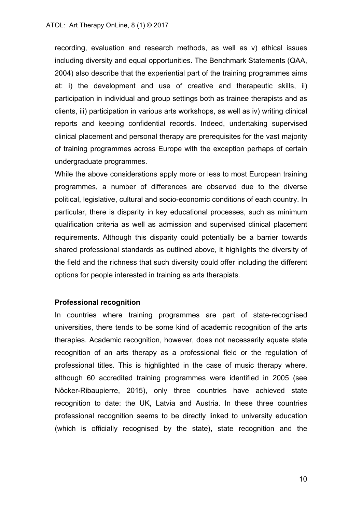recording, evaluation and research methods, as well as v) ethical issues including diversity and equal opportunities. The Benchmark Statements (QAA, 2004) also describe that the experiential part of the training programmes aims at: i) the development and use of creative and therapeutic skills, ii) participation in individual and group settings both as trainee therapists and as clients, iii) participation in various arts workshops, as well as iv) writing clinical reports and keeping confidential records. Indeed, undertaking supervised clinical placement and personal therapy are prerequisites for the vast majority of training programmes across Europe with the exception perhaps of certain undergraduate programmes.

While the above considerations apply more or less to most European training programmes, a number of differences are observed due to the diverse political, legislative, cultural and socio-economic conditions of each country. In particular, there is disparity in key educational processes, such as minimum qualification criteria as well as admission and supervised clinical placement requirements. Although this disparity could potentially be a barrier towards shared professional standards as outlined above, it highlights the diversity of the field and the richness that such diversity could offer including the different options for people interested in training as arts therapists.

#### **Professional recognition**

In countries where training programmes are part of state-recognised universities, there tends to be some kind of academic recognition of the arts therapies. Academic recognition, however, does not necessarily equate state recognition of an arts therapy as a professional field or the regulation of professional titles. This is highlighted in the case of music therapy where, although 60 accredited training programmes were identified in 2005 (see Nöcker-Ribaupierre, 2015), only three countries have achieved state recognition to date: the UK, Latvia and Austria. In these three countries professional recognition seems to be directly linked to university education (which is officially recognised by the state), state recognition and the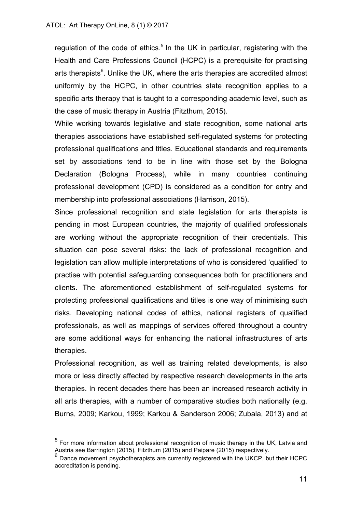regulation of the code of ethics.<sup>5</sup> In the UK in particular, registering with the Health and Care Professions Council (HCPC) is a prerequisite for practising arts therapists $<sup>6</sup>$ . Unlike the UK, where the arts therapies are accredited almost</sup> uniformly by the HCPC, in other countries state recognition applies to a specific arts therapy that is taught to a corresponding academic level, such as the case of music therapy in Austria (Fitzthum, 2015).

While working towards legislative and state recognition, some national arts therapies associations have established self-regulated systems for protecting professional qualifications and titles. Educational standards and requirements set by associations tend to be in line with those set by the Bologna Declaration (Bologna Process), while in many countries continuing professional development (CPD) is considered as a condition for entry and membership into professional associations (Harrison, 2015).

Since professional recognition and state legislation for arts therapists is pending in most European countries, the majority of qualified professionals are working without the appropriate recognition of their credentials. This situation can pose several risks: the lack of professional recognition and legislation can allow multiple interpretations of who is considered 'qualified' to practise with potential safeguarding consequences both for practitioners and clients. The aforementioned establishment of self-regulated systems for protecting professional qualifications and titles is one way of minimising such risks. Developing national codes of ethics, national registers of qualified professionals, as well as mappings of services offered throughout a country are some additional ways for enhancing the national infrastructures of arts therapies.

Professional recognition, as well as training related developments, is also more or less directly affected by respective research developments in the arts therapies. In recent decades there has been an increased research activity in all arts therapies, with a number of comparative studies both nationally (e.g. Burns, 2009; Karkou, 1999; Karkou & Sanderson 2006; Zubala, 2013) and at

 $<sup>5</sup>$  For more information about professional recognition of music therapy in the UK, Latvia and</sup> Austria see Barrington (2015), Fitzthum (2015) and Paipare (2015) respectively.

 $6$  Dance movement psychotherapists are currently registered with the UKCP, but their HCPC accreditation is pending.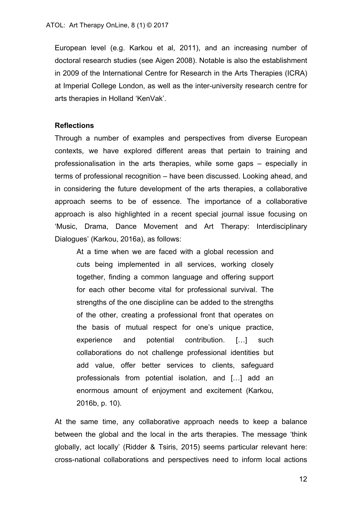European level (e.g. Karkou et al, 2011), and an increasing number of doctoral research studies (see Aigen 2008). Notable is also the establishment in 2009 of the International Centre for Research in the Arts Therapies (ICRA) at Imperial College London, as well as the inter-university research centre for arts therapies in Holland 'KenVak'.

#### **Reflections**

Through a number of examples and perspectives from diverse European contexts, we have explored different areas that pertain to training and professionalisation in the arts therapies, while some gaps – especially in terms of professional recognition – have been discussed. Looking ahead, and in considering the future development of the arts therapies, a collaborative approach seems to be of essence. The importance of a collaborative approach is also highlighted in a recent special journal issue focusing on 'Music, Drama, Dance Movement and Art Therapy: Interdisciplinary Dialogues' (Karkou, 2016a), as follows:

At a time when we are faced with a global recession and cuts being implemented in all services, working closely together, finding a common language and offering support for each other become vital for professional survival. The strengths of the one discipline can be added to the strengths of the other, creating a professional front that operates on the basis of mutual respect for one's unique practice, experience and potential contribution. […] such collaborations do not challenge professional identities but add value, offer better services to clients, safeguard professionals from potential isolation, and […] add an enormous amount of enjoyment and excitement (Karkou, 2016b, p. 10).

At the same time, any collaborative approach needs to keep a balance between the global and the local in the arts therapies. The message 'think globally, act locally' (Ridder & Tsiris, 2015) seems particular relevant here: cross-national collaborations and perspectives need to inform local actions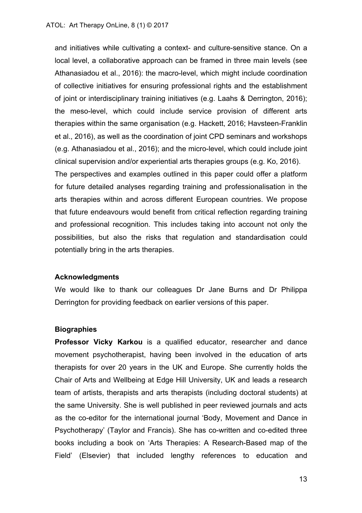and initiatives while cultivating a context- and culture-sensitive stance. On a local level, a collaborative approach can be framed in three main levels (see Athanasiadou et al., 2016): the macro-level, which might include coordination of collective initiatives for ensuring professional rights and the establishment of joint or interdisciplinary training initiatives (e.g. Laahs & Derrington, 2016); the meso-level, which could include service provision of different arts therapies within the same organisation (e.g. Hackett, 2016; Havsteen-Franklin et al., 2016), as well as the coordination of joint CPD seminars and workshops (e.g. Athanasiadou et al., 2016); and the micro-level, which could include joint clinical supervision and/or experiential arts therapies groups (e.g. Ko, 2016). The perspectives and examples outlined in this paper could offer a platform for future detailed analyses regarding training and professionalisation in the arts therapies within and across different European countries. We propose that future endeavours would benefit from critical reflection regarding training and professional recognition. This includes taking into account not only the possibilities, but also the risks that regulation and standardisation could potentially bring in the arts therapies.

# **Acknowledgments**

We would like to thank our colleagues Dr Jane Burns and Dr Philippa Derrington for providing feedback on earlier versions of this paper.

# **Biographies**

**Professor Vicky Karkou** is a qualified educator, researcher and dance movement psychotherapist, having been involved in the education of arts therapists for over 20 years in the UK and Europe. She currently holds the Chair of Arts and Wellbeing at Edge Hill University, UK and leads a research team of artists, therapists and arts therapists (including doctoral students) at the same University. She is well published in peer reviewed journals and acts as the co-editor for the international journal 'Body, Movement and Dance in Psychotherapy' (Taylor and Francis). She has co-written and co-edited three books including a book on 'Arts Therapies: A Research-Based map of the Field' (Elsevier) that included lengthy references to education and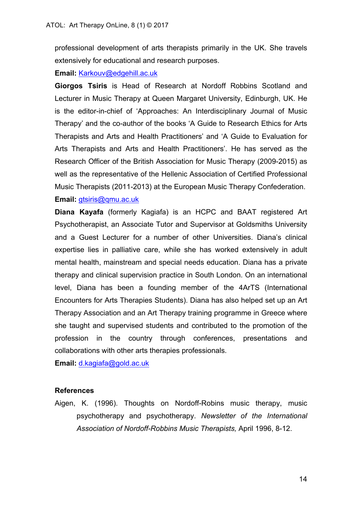professional development of arts therapists primarily in the UK. She travels extensively for educational and research purposes.

# **Email:** Karkouv@edgehill.ac.uk

**Giorgos Tsiris** is Head of Research at Nordoff Robbins Scotland and Lecturer in Music Therapy at Queen Margaret University, Edinburgh, UK. He is the editor-in-chief of 'Approaches: An Interdisciplinary Journal of Music Therapy' and the co-author of the books 'A Guide to Research Ethics for Arts Therapists and Arts and Health Practitioners' and 'A Guide to Evaluation for Arts Therapists and Arts and Health Practitioners'. He has served as the Research Officer of the British Association for Music Therapy (2009-2015) as well as the representative of the Hellenic Association of Certified Professional Music Therapists (2011-2013) at the European Music Therapy Confederation. **Email:** gtsiris@qmu.ac.uk

**Diana Kayafa** (formerly Kagiafa) is an HCPC and BAAT registered Art Psychotherapist, an Associate Tutor and Supervisor at Goldsmiths University and a Guest Lecturer for a number of other Universities. Diana's clinical expertise lies in palliative care, while she has worked extensively in adult mental health, mainstream and special needs education. Diana has a private therapy and clinical supervision practice in South London. On an international level, Diana has been a founding member of the 4ArTS (International Encounters for Arts Therapies Students). Diana has also helped set up an Art Therapy Association and an Art Therapy training programme in Greece where she taught and supervised students and contributed to the promotion of the profession in the country through conferences, presentations and collaborations with other arts therapies professionals.

**Email:** d.kagiafa@gold.ac.uk

# **References**

Aigen, K. (1996). Thoughts on Nordoff-Robins music therapy, music psychotherapy and psychotherapy. *Newsletter of the International Association of Nordoff-Robbins Music Therapists,* April 1996, 8-12.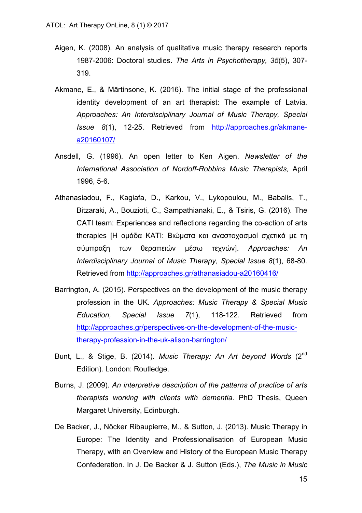- Aigen, K. (2008). An analysis of qualitative music therapy research reports 1987-2006: Doctoral studies. *The Arts in Psychotherapy, 35*(5), 307- 319.
- Akmane, E., & Mārtinsone, K. (2016). The initial stage of the professional identity development of an art therapist: The example of Latvia. *Approaches: An Interdisciplinary Journal of Music Therapy, Special Issue 8*(1), 12-25. Retrieved from http://approaches.gr/akmanea20160107/
- Ansdell, G. (1996). An open letter to Ken Aigen. *Newsletter of the International Association of Nordoff-Robbins Music Therapists,* April 1996, 5-6.
- Athanasiadou, F., Kagiafa, D., Karkou, V., Lykopoulou, M., Babalis, T., Bitzaraki, A., Bouzioti, C., Sampathianaki, E., & Tsiris, G. (2016). The CATI team: Experiences and reflections regarding the co-action of arts therapies [Η ομάδα ΚΑΤΙ: Βιώματα και αναστοχασμοί σχετικά με τη σύµπραξη των θεραπειών µέσω τεχνών]. *Approaches: An Interdisciplinary Journal of Music Therapy, Special Issue 8*(1), 68-80. Retrieved from http://approaches.gr/athanasiadou-a20160416/
- Barrington, A. (2015). Perspectives on the development of the music therapy profession in the UK. *Approaches: Music Therapy & Special Music Education, Special Issue 7*(1), 118-122. Retrieved from http://approaches.gr/perspectives-on-the-development-of-the-musictherapy-profession-in-the-uk-alison-barrington/
- Bunt, L., & Stige, B. (2014). *Music Therapy: An Art beyond Words* (2nd Edition). London: Routledge.
- Burns, J. (2009). *An interpretive description of the patterns of practice of arts therapists working with clients with dementia*. PhD Thesis, Queen Margaret University, Edinburgh.
- De Backer, J., Nöcker Ribaupierre, M., & Sutton, J. (2013). Music Therapy in Europe: The Identity and Professionalisation of European Music Therapy, with an Overview and History of the European Music Therapy Confederation. In J. De Backer & J. Sutton (Eds.), *The Music in Music*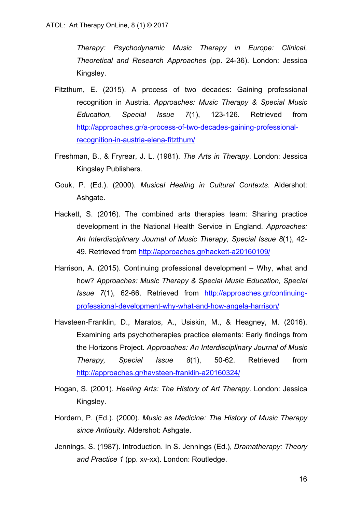*Therapy: Psychodynamic Music Therapy in Europe: Clinical, Theoretical and Research Approaches* (pp. 24-36). London: Jessica Kingsley.

- Fitzthum, E. (2015). A process of two decades: Gaining professional recognition in Austria. *Approaches: Music Therapy & Special Music Education, Special Issue 7*(1), 123-126. Retrieved from http://approaches.gr/a-process-of-two-decades-gaining-professionalrecognition-in-austria-elena-fitzthum/
- Freshman, B., & Fryrear, J. L. (1981). *The Arts in Therapy*. London: Jessica Kingsley Publishers.
- Gouk, P. (Ed.). (2000). *Musical Healing in Cultural Contexts*. Aldershot: Ashgate.
- Hackett, S. (2016). The combined arts therapies team: Sharing practice development in the National Health Service in England. *Approaches: An Interdisciplinary Journal of Music Therapy, Special Issue 8*(1), 42- 49. Retrieved from http://approaches.gr/hackett-a20160109/
- Harrison, A. (2015). Continuing professional development Why, what and how? *Approaches: Music Therapy & Special Music Education, Special Issue 7*(1), 62-66. Retrieved from http://approaches.gr/continuingprofessional-development-why-what-and-how-angela-harrison/
- Havsteen-Franklin, D., Maratos, A., Usiskin, M., & Heagney, M. (2016). Examining arts psychotherapies practice elements: Early findings from the Horizons Project*. Approaches: An Interdisciplinary Journal of Music Therapy, Special Issue 8*(1), 50-62. Retrieved from http://approaches.gr/havsteen-franklin-a20160324/
- Hogan, S. (2001). *Healing Arts: The History of Art Therapy*. London: Jessica Kingsley.
- Hordern, P. (Ed.). (2000). *Music as Medicine: The History of Music Therapy since Antiquity*. Aldershot: Ashgate.
- Jennings, S. (1987). Introduction. In S. Jennings (Ed.), *Dramatherapy: Theory and Practice 1* (pp. xv-xx). London: Routledge.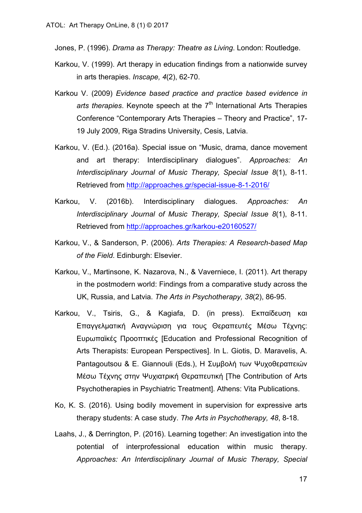Jones, P. (1996). *Drama as Therapy: Theatre as Living*. London: Routledge.

- Karkou, V. (1999). Art therapy in education findings from a nationwide survey in arts therapies. *Inscape, 4*(2), 62-70.
- Karkou V. (2009) *Evidence based practice and practice based evidence in*  arts therapies. Keynote speech at the 7<sup>th</sup> International Arts Therapies Conference "Contemporary Arts Therapies – Theory and Practice", 17- 19 July 2009, Riga Stradins University, Cesis, Latvia.
- Karkou, V. (Ed.). (2016a). Special issue on "Music, drama, dance movement and art therapy: Interdisciplinary dialogues". *Approaches: An Interdisciplinary Journal of Music Therapy, Special Issue 8*(1), 8-11. Retrieved from http://approaches.gr/special-issue-8-1-2016/
- Karkou, V. (2016b). Interdisciplinary dialogues. *Approaches: An Interdisciplinary Journal of Music Therapy, Special Issue 8*(1), 8-11. Retrieved from http://approaches.gr/karkou-e20160527/
- Karkou, V., & Sanderson, P. (2006). *Arts Therapies: A Research-based Map of the Field*. Edinburgh: Elsevier.
- Karkou, V., Martinsone, K. Nazarova, N., & Vaverniece, I. (2011). Art therapy in the postmodern world: Findings from a comparative study across the UK, Russia, and Latvia. *The Arts in Psychotherapy, 38*(2), 86-95.
- Karkou, V., Tsiris, G., & Kagiafa, D. (in press). Εκπαίδευση και Επαγγελµατική Αναγνώριση για τους Θεραπευτές Μέσω Τέχνης: Ευρωπαϊκές Προοπτικές [Education and Professional Recognition of Arts Therapists: European Perspectives]. In L. Giotis, D. Maravelis, Α. Pantagoutsou & Ε. Giannouli (Eds.), Η Συµβολή των Ψυχοθεραπειών Μέσω Τέχνης στην Ψυχιατρική Θεραπευτική [The Contribution of Arts Psychotherapies in Psychiatric Treatment]. Athens: Vita Publications.
- Ko, K. S. (2016). Using bodily movement in supervision for expressive arts therapy students: A case study. *The Arts in Psychotherapy, 48*, 8-18.
- Laahs, J., & Derrington, P. (2016). Learning together: An investigation into the potential of interprofessional education within music therapy. *Approaches: An Interdisciplinary Journal of Music Therapy, Special*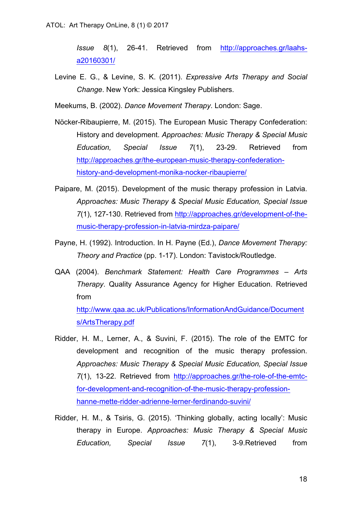*Issue 8*(1), 26-41. Retrieved from http://approaches.gr/laahsa20160301/

Levine E. G., & Levine, S. K. (2011). *Expressive Arts Therapy and Social Change*. New York: Jessica Kingsley Publishers.

Meekums, B. (2002). *Dance Movement Therapy*. London: Sage.

- Nöcker-Ribaupierre, M. (2015). The European Music Therapy Confederation: History and development. *Approaches: Music Therapy & Special Music Education, Special Issue 7*(1), 23-29. Retrieved from http://approaches.gr/the-european-music-therapy-confederationhistory-and-development-monika-nocker-ribaupierre/
- Paipare, M. (2015). Development of the music therapy profession in Latvia. *Approaches: Music Therapy & Special Music Education, Special Issue 7*(1), 127-130. Retrieved from http://approaches.gr/development-of-themusic-therapy-profession-in-latvia-mirdza-paipare/
- Payne, H. (1992). Introduction. In Η. Payne (Ed.), *Dance Movement Therapy: Theory and Practice* (pp. 1-17). London: Tavistock/Routledge.
- QAA (2004). *Benchmark Statement: Health Care Programmes – Arts Therapy*. Quality Assurance Agency for Higher Education. Retrieved from http://www.qaa.ac.uk/Publications/InformationAndGuidance/Document

s/ArtsTherapy.pdf

- Ridder, H. M., Lerner, A., & Suvini, F. (2015). The role of the EMTC for development and recognition of the music therapy profession. *Approaches: Music Therapy & Special Music Education, Special Issue 7*(1), 13-22. Retrieved from http://approaches.gr/the-role-of-the-emtcfor-development-and-recognition-of-the-music-therapy-professionhanne-mette-ridder-adrienne-lerner-ferdinando-suvini/
- Ridder, H. M., & Tsiris, G. (2015). 'Thinking globally, acting locally': Music therapy in Europe. *Approaches: Music Therapy & Special Music Education, Special Issue 7*(1), 3-9.Retrieved from